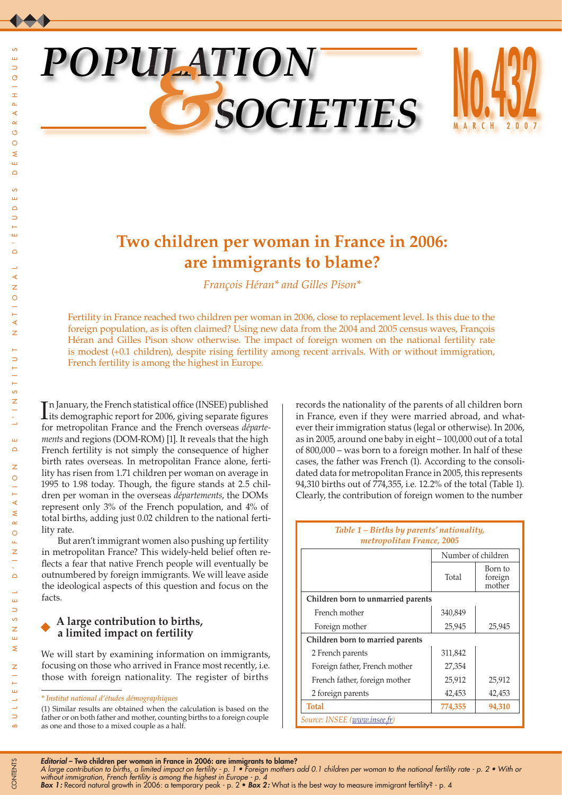# *POPULATION &SOCIETIES*



# **Two children per woman in France in 2006: are immigrants to blame?**

*François Héran\* and Gilles Pison\**

Fertility in France reached two children per woman in 2006, close to replacement level. Is this due to the foreign population, as is often claimed? Using new data from the 2004 and 2005 census waves, François Héran and Gilles Pison show otherwise. The impact of foreign women on the national fertility rate is modest (+0.1 children), despite rising fertility among recent arrivals. With or without immigration, French fertility is among the highest in Europe.

In January, the French statistical office (INSEE) published<br>its demographic report for 2006, giving separate figures n January, the French statistical office (INSEE) published for metropolitan France and the French overseas *départements* and regions (DOM-ROM) [1]. It reveals that the high French fertility is not simply the consequence of higher birth rates overseas. In metropolitan France alone, fertility has risen from 1.71 children per woman on average in 1995 to 1.98 today. Though, the figure stands at 2.5 children per woman in the overseas *départements*, the DOMs represent only 3% of the French population, and 4% of total births, adding just 0.02 children to the national fertility rate.

But aren't immigrant women also pushing up fertility in metropolitan France? This widely-held belief often reflects a fear that native French people will eventually be outnumbered by foreign immigrants. We will leave aside the ideological aspects of this question and focus on the facts.

# **A large contribution to births, a limited impact on fertility**

We will start by examining information on immigrants, focusing on those who arrived in France most recently, i.e. those with foreign nationality. The register of births

(1) Similar results are obtained when the calculation is based on the father or on both father and mother, counting births to a foreign couple as one and those to a mixed couple as a half.

records the nationality of the parents of all children born in France, even if they were married abroad, and whatever their immigration status (legal or otherwise). In 2006, as in 2005, around one baby in eight – 100,000 out of a total of 800,000 – was born to a foreign mother. In half of these cases, the father was French (1). According to the consolidated data for metropolitan France in 2005, this represents 94,310 births out of 774,355, i.e. 12.2% of the total (Table 1). Clearly, the contribution of foreign women to the number

| metropolitan France, 2005          |                    |                              |  |  |  |  |  |  |  |  |  |
|------------------------------------|--------------------|------------------------------|--|--|--|--|--|--|--|--|--|
|                                    | Number of children |                              |  |  |  |  |  |  |  |  |  |
|                                    | Total              | Born to<br>foreign<br>mother |  |  |  |  |  |  |  |  |  |
| Children born to unmarried parents |                    |                              |  |  |  |  |  |  |  |  |  |
| French mother                      | 340,849            |                              |  |  |  |  |  |  |  |  |  |
| Foreign mother                     | 25,945             | 25,945                       |  |  |  |  |  |  |  |  |  |
| Children born to married parents   |                    |                              |  |  |  |  |  |  |  |  |  |
| 2 French parents                   | 311,842            |                              |  |  |  |  |  |  |  |  |  |
| Foreign father, French mother      | 27,354             |                              |  |  |  |  |  |  |  |  |  |
| French father, foreign mother      | 25,912             | 25,912                       |  |  |  |  |  |  |  |  |  |
| 2 foreign parents                  | 42,453             | 42,453                       |  |  |  |  |  |  |  |  |  |
| Total                              | 774,355            | 94,310                       |  |  |  |  |  |  |  |  |  |
| Source: INSEE (www.insee.fr)       |                    |                              |  |  |  |  |  |  |  |  |  |

# *Table 1 – Births by parents' nationality, metropolitan France, 2005*

*Editorial* – Two children per woman in France in 2006: are immigrants to blame?

*Box 1:* Record natural growth in 2006: a temporary peak - p. 2 • *Box 2:* What is the best way to measure immigrant fertility? - p. 4

CONTENTS

CONTENTS

*<sup>\*</sup> Institut national d'études démographiques*

*A large contribution to births, a limited impact on fertility - p. 1 • Foreign mothers add 0.1 children per woman to the national fertility rate - p. 2 • With or without immigration, French fertility is among the highest in Europe - p. 4*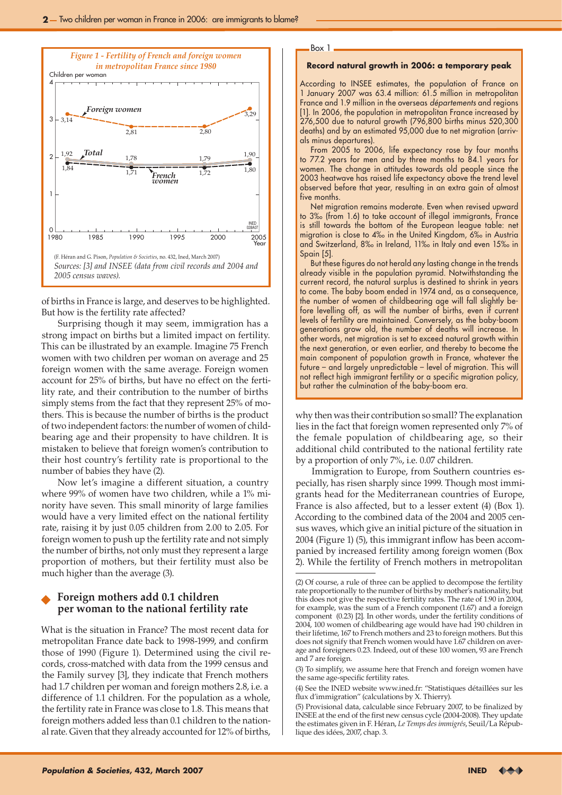

of births in France is large, and deserves to be highlighted. But how is the fertility rate affected?

Surprising though it may seem, immigration has a strong impact on births but a limited impact on fertility. This can be illustrated by an example. Imagine 75 French women with two children per woman on average and 25 foreign women with the same average. Foreign women account for 25% of births, but have no effect on the fertility rate, and their contribution to the number of births simply stems from the fact that they represent 25% of mothers. This is because the number of births is the product of two independent factors: the number of women of childbearing age and their propensity to have children. It is mistaken to believe that foreign women's contribution to their host country's fertility rate is proportional to the number of babies they have (2).

Now let's imagine a different situation, a country where 99% of women have two children, while a 1% minority have seven. This small minority of large families would have a very limited effect on the national fertility rate, raising it by just 0.05 children from 2.00 to 2.05. For foreign women to push up the fertility rate and not simply the number of births, not only must they represent a large proportion of mothers, but their fertility must also be much higher than the average (3).

## **Foreign mothers add 0.1 children per woman to the national fertility rate**

What is the situation in France? The most recent data for metropolitan France date back to 1998-1999, and confirm those of 1990 (Figure 1). Determined using the civil records, cross-matched with data from the 1999 census and the Family survey [3], they indicate that French mothers had 1.7 children per woman and foreign mothers 2.8, i.e. a difference of 1.1 children. For the population as a whole, the fertility rate in France was close to 1.8. This means that foreign mothers added less than 0.1 children to the national rate. Given that they already accounted for 12% of births,

# Box 1

#### **Record natural growth in 2006: a temporary peak**

According to INSEE estimates, the population of France on 1 January 2007 was 63.4 million: 61.5 million in metropolitan France and 1.9 million in the overseas *départements* and regions [1]. In 2006, the population in metropolitan France increased by 276,500 due to natural growth (796,800 births minus 520,300 deaths) and by an estimated 95,000 due to net migration (arrivals minus departures).

From 2005 to 2006, life expectancy rose by four months to 77.2 years for men and by three months to 84.1 years for women. The change in attitudes towards old people since the 2003 heatwave has raised life expectancy above the trend level observed before that year, resulting in an extra gain of almost five months.

Net migration remains moderate. Even when revised upward to 3‰ (from 1.6) to take account of illegal immigrants, France is still towards the bottom of the European league table: net migration is close to 4‰ in the United Kingdom, 6‰ in Austria and Switzerland, 8‰ in Ireland, 11‰ in Italy and even 15‰ in Spain [5].

But these figures do not herald any lasting change in the trends already visible in the population pyramid. Notwithstanding the current record, the natural surplus is destined to shrink in years to come. The baby boom ended in 1974 and, as a consequence, the number of women of childbearing age will fall slightly before levelling off, as will the number of births, even if current levels of fertility are maintained. Conversely, as the baby-boom generations grow old, the number of deaths will increase. In other words, net migration is set to exceed natural growth within the next generation, or even earlier, and thereby to become the main component of population growth in France, whatever the future – and largely unpredictable – level of migration. This will not reflect high immigrant fertility or a specific migration policy, but rather the culmination of the baby-boom era.

why then was their contribution so small? The explanation lies in the fact that foreign women represented only 7% of the female population of childbearing age, so their additional child contributed to the national fertility rate by a proportion of only 7%, i.e. 0.07 children.

Immigration to Europe, from Southern countries especially, has risen sharply since 1999. Though most immigrants head for the Mediterranean countries of Europe, France is also affected, but to a lesser extent (4) (Box 1). According to the combined data of the 2004 and 2005 census waves, which give an initial picture of the situation in 2004 (Figure 1) (5), this immigrant inflow has been accompanied by increased fertility among foreign women (Box 2). While the fertility of French mothers in metropolitan

<sup>(2)</sup> Of course, a rule of three can be applied to decompose the fertility rate proportionally to the number of births by mother's nationality, but this does not give the respective fertility rates. The rate of 1.90 in 2004, for example, was the sum of a French component (1.67) and a foreign component (0.23) [2]. In other words, under the fertility conditions of 2004, 100 women of childbearing age would have had 190 children in their lifetime, 167 to French mothers and 23 to foreign mothers. But this does not signify that French women would have 1.67 children on average and foreigners 0.23. Indeed, out of these 100 women, 93 are French and 7 are foreign.

<sup>(3)</sup> To simplify, we assume here that French and foreign women have the same age-specific fertility rates.

<sup>(4)</sup> See the INED website www.ined.fr: "Statistiques détaillées sur les flux d'immigration" (calculations by X. Thierry).

<sup>(5)</sup> Provisional data, calculable since February 2007, to be finalized by INSEE at the end of the first new census cycle (2004-2008). They update the estimates given in F. Héran, *Le Temps des immigrés*, Seuil/La République des idées, 2007, chap. 3.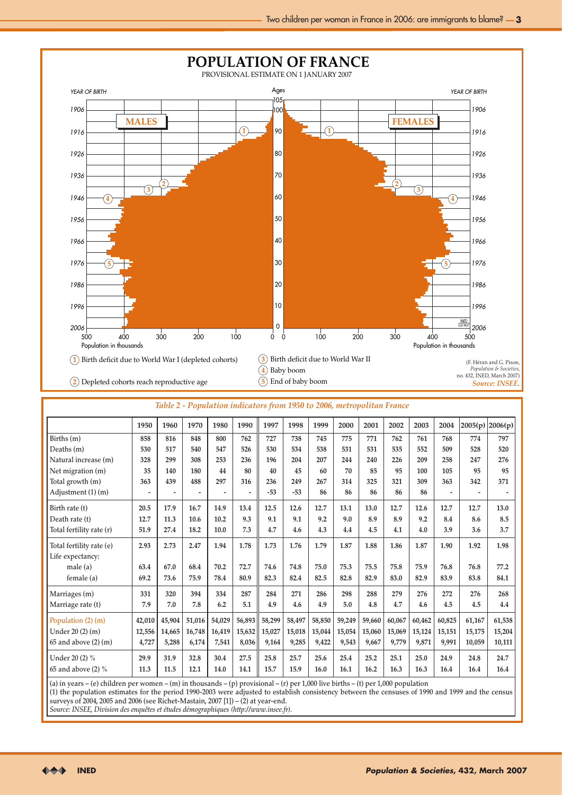

| Table 2 - Population indicators from 1950 to 2006, metropolitan France |  |  |
|------------------------------------------------------------------------|--|--|
|------------------------------------------------------------------------|--|--|

|                          | 1950           | 1960                     | 1970   | 1980           | 1990   | 1997   | 1998   | 1999   | 2000   | 2001   | 2002   | 2003   | 2004           | 2005(p) | 2006(p) |
|--------------------------|----------------|--------------------------|--------|----------------|--------|--------|--------|--------|--------|--------|--------|--------|----------------|---------|---------|
| Births (m)               | 858            | 816                      | 848    | 800            | 762    | 727    | 738    | 745    | 775    | 771    | 762    | 761    | 768            | 774     | 797     |
| Deaths (m)               | 530            | 517                      | 540    | 547            | 526    | 530    | 534    | 538    | 531    | 531    | 535    | 552    | 509            | 528     | 520     |
| Natural increase (m)     | 328            | 299                      | 308    | 253            | 236    | 196    | 204    | 207    | 244    | 240    | 226    | 209    | 258            | 247     | 276     |
| Net migration (m)        | 35             | 140                      | 180    | 44             | 80     | 40     | 45     | 60     | 70     | 85     | 95     | 100    | 105            | 95      | 95      |
| Total growth (m)         | 363            | 439                      | 488    | 297            | 316    | 236    | 249    | 267    | 314    | 325    | 321    | 309    | 363            | 342     | 371     |
| Adjustment (1) (m)       | $\overline{a}$ | $\overline{\phantom{a}}$ | ٠      | $\overline{a}$ | ٠      | $-53$  | $-53$  | 86     | 86     | 86     | 86     | 86     | $\overline{a}$ |         |         |
| Birth rate (t)           | 20.5           | 17.9                     | 16.7   | 14.9           | 13.4   | 12.5   | 12.6   | 12.7   | 13.1   | 13.0   | 12.7   | 12.6   | 12.7           | 12.7    | 13.0    |
| Death rate (t)           | 12.7           | 11.3                     | 10.6   | 10.2           | 9.3    | 9.1    | 9.1    | 9.2    | 9.0    | 8.9    | 8.9    | 9.2    | 8.4            | 8.6     | 8.5     |
| Total fertility rate (r) | 51.9           | 27.4                     | 18.2   | 10.0           | 7.3    | 4.7    | 4.6    | 4.3    | 4.4    | 4.5    | 4.1    | 4.0    | 3.9            | 3.6     | 3.7     |
| Total fertility rate (e) | 2.93           | 2.73                     | 2.47   | 1.94           | 1.78   | 1.73   | 1.76   | 1.79   | 1.87   | 1.88   | 1.86   | 1.87   | 1.90           | 1.92    | 1.98    |
| Life expectancy:         |                |                          |        |                |        |        |        |        |        |        |        |        |                |         |         |
| male(a)                  | 63.4           | 67.0                     | 68.4   | 70.2           | 72.7   | 74.6   | 74.8   | 75.0   | 75.3   | 75.5   | 75.8   | 75.9   | 76.8           | 76.8    | 77.2    |
| female (a)               | 69.2           | 73.6                     | 75.9   | 78.4           | 80.9   | 82.3   | 82.4   | 82.5   | 82.8   | 82.9   | 83.0   | 82.9   | 83.9           | 83.8    | 84.1    |
| Marriages (m)            | 331            | 320                      | 394    | 334            | 287    | 284    | 271    | 286    | 298    | 288    | 279    | 276    | 272            | 276     | 268     |
| Marriage rate (t)        | 7.9            | 7.0                      | 7.8    | 6.2            | 5.1    | 4.9    | 4.6    | 4.9    | 5.0    | 4.8    | 4.7    | 4.6    | 4.5            | 4.5     | 4.4     |
| Population $(2)$ (m)     | 42.010         | 45,904                   | 51,016 | 54,029         | 56,893 | 58,299 | 58,497 | 58,850 | 59,249 | 59,660 | 60,067 | 60,462 | 60.825         | 61.167  | 61,538  |
| Under 20 (2) (m)         | 12,556         | 14,665                   | 16,748 | 16,419         | 15,632 | 15,027 | 15,018 | 15,044 | 15,054 | 15,060 | 15,069 | 15,124 | 15,151         | 15,175  | 15,204  |
| $65$ and above $(2)$ (m) | 4,727          | 5,288                    | 6,174  | 7,541          | 8,036  | 9,164  | 9,285  | 9,422  | 9,543  | 9,667  | 9,779  | 9,871  | 9,991          | 10,059  | 10,111  |
| Under 20 (2) %           | 29.9           | 31.9                     | 32.8   | 30.4           | 27.5   | 25.8   | 25.7   | 25.6   | 25.4   | 25.2   | 25.1   | 25.0   | 24.9           | 24.8    | 24.7    |
| 65 and above (2) $\%$    | 11.3           | 11.5                     | 12.1   | 14.0           | 14.1   | 15.7   | 15.9   | 16.0   | 16.1   | 16.2   | 16.3   | 16.3   | 16.4           | 16.4    | 16.4    |

(a) in years – (e) children per women – (m) in thousands – (p) provisional – (r) per 1,000 live births – (t) per 1,000 population

(1) the population estimates for the period 1990-2003 were adjusted to establish consistency between the censuses of 1990 and 1999 and the census surveys of 2004, 2005 and 2006 (see Richet-Mastain, 2007 [1]) – (2) at year-end.

*Source: Insee, Division des enquêtes et études démographiques [\(http://www.insee.fr](http://www.insee.fr)).*